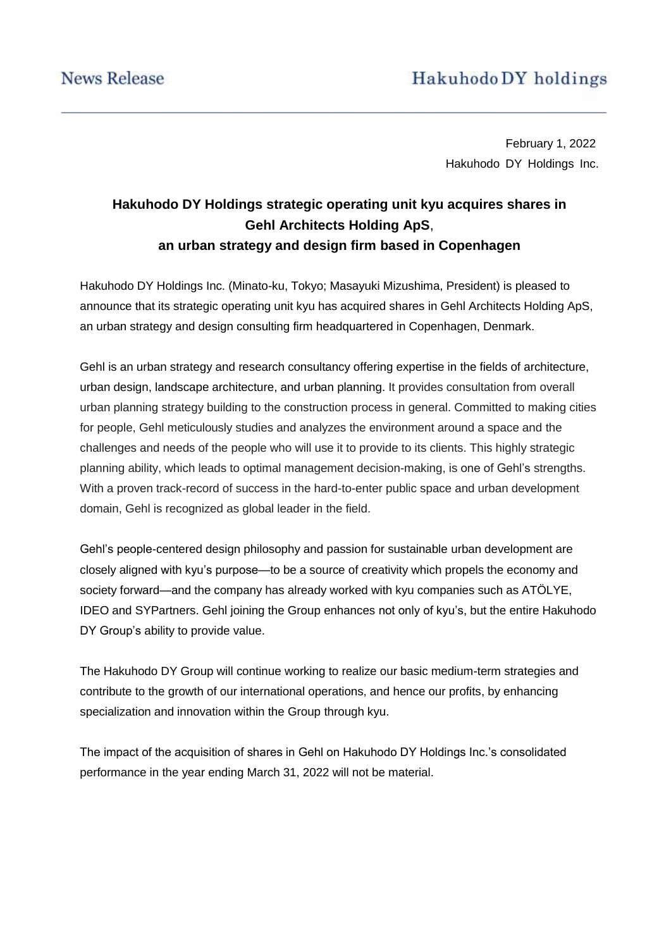# Hakuhodo DY holdings

February 1, 2022 Hakuhodo DY Holdings Inc.

## **Hakuhodo DY Holdings strategic operating unit kyu acquires shares in Gehl Architects Holding ApS**, **an urban strategy and design firm based in Copenhagen**

Hakuhodo DY Holdings Inc. (Minato-ku, Tokyo; Masayuki Mizushima, President) is pleased to announce that its strategic operating unit kyu has acquired shares in Gehl Architects Holding ApS, an urban strategy and design consulting firm headquartered in Copenhagen, Denmark.

Gehl is an urban strategy and research consultancy offering expertise in the fields of architecture, urban design, landscape architecture, and urban planning. It provides consultation from overall urban planning strategy building to the construction process in general. Committed to making cities for people, Gehl meticulously studies and analyzes the environment around a space and the challenges and needs of the people who will use it to provide to its clients. This highly strategic planning ability, which leads to optimal management decision-making, is one of Gehl's strengths. With a proven track-record of success in the hard-to-enter public space and urban development domain, Gehl is recognized as global leader in the field.

Gehl's people-centered design philosophy and passion for sustainable urban development are closely aligned with kyu's purpose—to be a source of creativity which propels the economy and society forward—and the company has already worked with kyu companies such as ATÖLYE, IDEO and SYPartners. Gehl joining the Group enhances not only of kyu's, but the entire Hakuhodo DY Group's ability to provide value.

The Hakuhodo DY Group will continue working to realize our basic medium-term strategies and contribute to the growth of our international operations, and hence our profits, by enhancing specialization and innovation within the Group through kyu.

The impact of the acquisition of shares in Gehl on Hakuhodo DY Holdings Inc.'s consolidated performance in the year ending March 31, 2022 will not be material.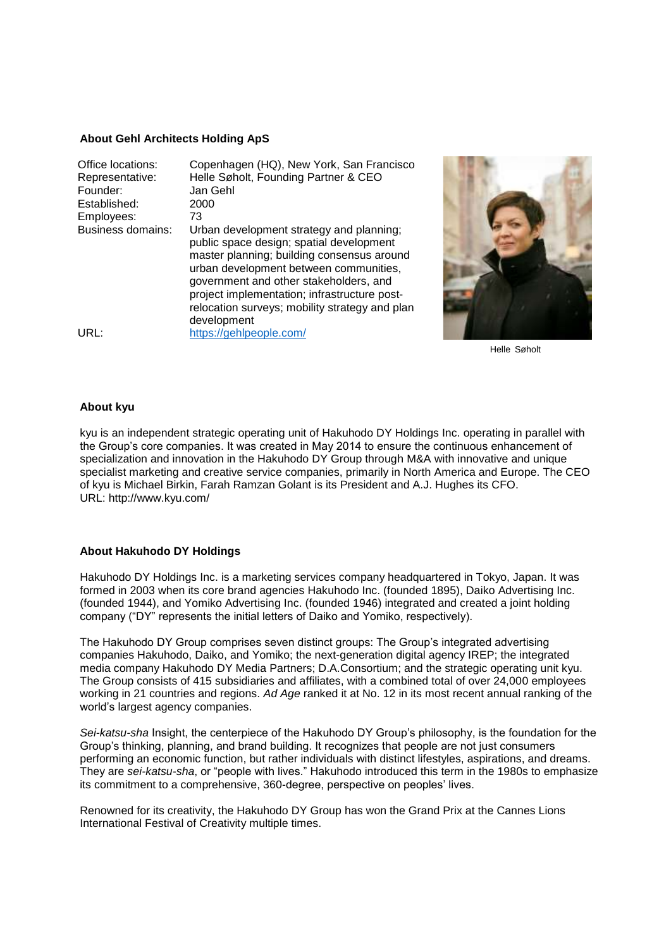#### **About Gehl Architects Holding ApS**

| Office locations:<br>Representative:<br>Founder:<br>Established:<br>Employees: | Copenhagen (HQ), New York, San Francisco<br>Helle Søholt, Founding Partner & CEO<br>Jan Gehl<br>2000<br>73                                                                                                                                                                                                                              |
|--------------------------------------------------------------------------------|-----------------------------------------------------------------------------------------------------------------------------------------------------------------------------------------------------------------------------------------------------------------------------------------------------------------------------------------|
| <b>Business domains:</b>                                                       | Urban development strategy and planning;<br>public space design; spatial development<br>master planning; building consensus around<br>urban development between communities,<br>government and other stakeholders, and<br>project implementation; infrastructure post-<br>relocation surveys; mobility strategy and plan<br>development |
| URL:                                                                           | https://gehlpeople.com/                                                                                                                                                                                                                                                                                                                 |



Helle Søholt

#### **About kyu**

kyu is an independent strategic operating unit of Hakuhodo DY Holdings Inc. operating in parallel with the Group's core companies. It was created in May 2014 to ensure the continuous enhancement of specialization and innovation in the Hakuhodo DY Group through M&A with innovative and unique specialist marketing and creative service companies, primarily in North America and Europe. The CEO of kyu is Michael Birkin, Farah Ramzan Golant is its President and A.J. Hughes its CFO. URL: http://www.kyu.com/

#### **About Hakuhodo DY Holdings**

Hakuhodo DY Holdings Inc. is a marketing services company headquartered in Tokyo, Japan. It was formed in 2003 when its core brand agencies Hakuhodo Inc. (founded 1895), Daiko Advertising Inc. (founded 1944), and Yomiko Advertising Inc. (founded 1946) integrated and created a joint holding company ("DY" represents the initial letters of Daiko and Yomiko, respectively).

The Hakuhodo DY Group comprises seven distinct groups: The Group's integrated advertising companies Hakuhodo, Daiko, and Yomiko; the next-generation digital agency IREP; the integrated media company Hakuhodo DY Media Partners; D.A.Consortium; and the strategic operating unit kyu. The Group consists of 415 subsidiaries and affiliates, with a combined total of over 24,000 employees working in 21 countries and regions. *Ad Age* ranked it at No. 12 in its most recent annual ranking of the world's largest agency companies.

*Sei-katsu-sha* Insight, the centerpiece of the Hakuhodo DY Group's philosophy, is the foundation for the Group's thinking, planning, and brand building. It recognizes that people are not just consumers performing an economic function, but rather individuals with distinct lifestyles, aspirations, and dreams. They are *sei-katsu-sha*, or "people with lives." Hakuhodo introduced this term in the 1980s to emphasize its commitment to a comprehensive, 360-degree, perspective on peoples' lives.

Renowned for its creativity, the Hakuhodo DY Group has won the Grand Prix at the Cannes Lions International Festival of Creativity multiple times.